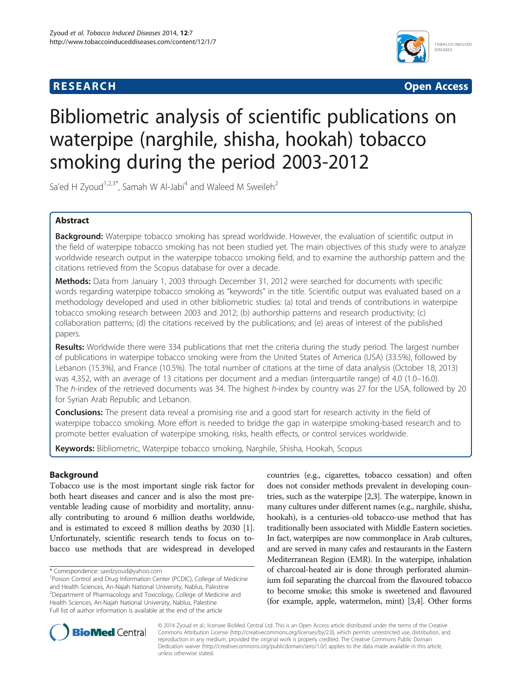



# Bibliometric analysis of scientific publications on waterpipe (narghile, shisha, hookah) tobacco smoking during the period 2003-2012

Sa'ed H Zyoud<sup>1,2,3\*</sup>, Samah W Al-Jabi<sup>4</sup> and Waleed M Sweileh<sup>2</sup>

# Abstract

Background: Waterpipe tobacco smoking has spread worldwide. However, the evaluation of scientific output in the field of waterpipe tobacco smoking has not been studied yet. The main objectives of this study were to analyze worldwide research output in the waterpipe tobacco smoking field, and to examine the authorship pattern and the citations retrieved from the Scopus database for over a decade.

Methods: Data from January 1, 2003 through December 31, 2012 were searched for documents with specific words regarding waterpipe tobacco smoking as "keywords" in the title. Scientific output was evaluated based on a methodology developed and used in other bibliometric studies: (a) total and trends of contributions in waterpipe tobacco smoking research between 2003 and 2012; (b) authorship patterns and research productivity; (c) collaboration patterns; (d) the citations received by the publications; and (e) areas of interest of the published papers.

Results: Worldwide there were 334 publications that met the criteria during the study period. The largest number of publications in waterpipe tobacco smoking were from the United States of America (USA) (33.5%), followed by Lebanon (15.3%), and France (10.5%). The total number of citations at the time of data analysis (October 18, 2013) was 4,352, with an average of 13 citations per document and a median (interquartile range) of 4.0 (1.0–16.0). The h-index of the retrieved documents was 34. The highest h-index by country was 27 for the USA, followed by 20 for Syrian Arab Republic and Lebanon.

**Conclusions:** The present data reveal a promising rise and a good start for research activity in the field of waterpipe tobacco smoking. More effort is needed to bridge the gap in waterpipe smoking-based research and to promote better evaluation of waterpipe smoking, risks, health effects, or control services worldwide.

Keywords: Bibliometric, Waterpipe tobacco smoking, Narghile, Shisha, Hookah, Scopus

# **Background**

Tobacco use is the most important single risk factor for both heart diseases and cancer and is also the most preventable leading cause of morbidity and mortality, annually contributing to around 6 million deaths worldwide, and is estimated to exceed 8 million deaths by 2030 [[1](#page-4-0)]. Unfortunately, scientific research tends to focus on tobacco use methods that are widespread in developed countries (e.g., cigarettes, tobacco cessation) and often does not consider methods prevalent in developing countries, such as the waterpipe [[2,3\]](#page-4-0). The waterpipe, known in many cultures under different names (e.g., narghile, shisha, hookah), is a centuries-old tobacco-use method that has traditionally been associated with Middle Eastern societies. In fact, waterpipes are now commonplace in Arab cultures, and are served in many cafes and restaurants in the Eastern Mediterranean Region (EMR). In the waterpipe, inhalation of charcoal-heated air is done through perforated aluminium foil separating the charcoal from the flavoured tobacco to become smoke; this smoke is sweetened and flavoured (for example, apple, watermelon, mint) [\[3,4\]](#page-4-0). Other forms



© 2014 Zyoud et al.; licensee BioMed Central Ltd. This is an Open Access article distributed under the terms of the Creative Commons Attribution License [\(http://creativecommons.org/licenses/by/2.0\)](http://creativecommons.org/licenses/by/2.0), which permits unrestricted use, distribution, and reproduction in any medium, provided the original work is properly credited. The Creative Commons Public Domain Dedication waiver [\(http://creativecommons.org/publicdomain/zero/1.0/](http://creativecommons.org/publicdomain/zero/1.0/)) applies to the data made available in this article, unless otherwise stated.

<sup>\*</sup> Correspondence: [saedzyoud@yahoo.com](mailto:saedzyoud@yahoo.com) <sup>1</sup>

<sup>&</sup>lt;sup>1</sup> Poison Control and Drug Information Center (PCDIC), College of Medicine and Health Sciences, An-Najah National University, Nablus, Palestine <sup>2</sup>Department of Pharmacology and Toxicology, College of Medicine and Health Sciences, An-Najah National University, Nablus, Palestine Full list of author information is available at the end of the article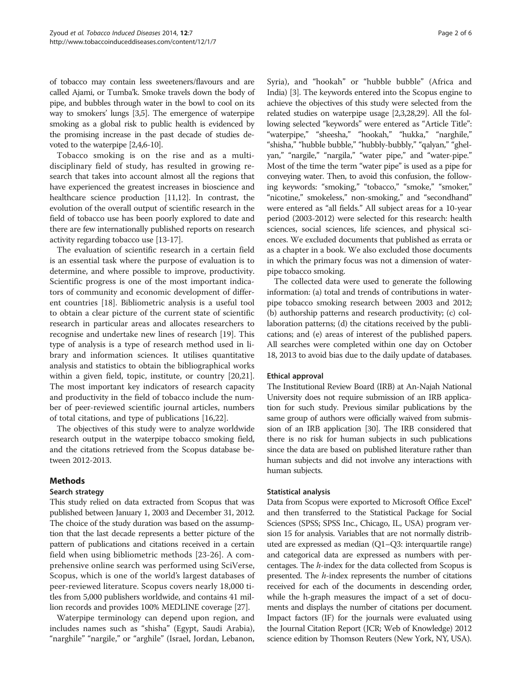of tobacco may contain less sweeteners/flavours and are called Ajami, or Tumba'k. Smoke travels down the body of pipe, and bubbles through water in the bowl to cool on its way to smokers' lungs [\[3,5](#page-4-0)]. The emergence of waterpipe smoking as a global risk to public health is evidenced by the promising increase in the past decade of studies devoted to the waterpipe [\[2,4,6](#page-4-0)-[10\]](#page-5-0).

Tobacco smoking is on the rise and as a multidisciplinary field of study, has resulted in growing research that takes into account almost all the regions that have experienced the greatest increases in bioscience and healthcare science production [\[11,12](#page-5-0)]. In contrast, the evolution of the overall output of scientific research in the field of tobacco use has been poorly explored to date and there are few internationally published reports on research activity regarding tobacco use [[13](#page-5-0)-[17](#page-5-0)].

The evaluation of scientific research in a certain field is an essential task where the purpose of evaluation is to determine, and where possible to improve, productivity. Scientific progress is one of the most important indicators of community and economic development of different countries [[18\]](#page-5-0). Bibliometric analysis is a useful tool to obtain a clear picture of the current state of scientific research in particular areas and allocates researchers to recognise and undertake new lines of research [\[19\]](#page-5-0). This type of analysis is a type of research method used in library and information sciences. It utilises quantitative analysis and statistics to obtain the bibliographical works within a given field, topic, institute, or country [\[20,21](#page-5-0)]. The most important key indicators of research capacity and productivity in the field of tobacco include the number of peer-reviewed scientific journal articles, numbers of total citations, and type of publications [[16,22](#page-5-0)].

The objectives of this study were to analyze worldwide research output in the waterpipe tobacco smoking field, and the citations retrieved from the Scopus database between 2012-2013.

# Methods

## Search strategy

This study relied on data extracted from Scopus that was published between January 1, 2003 and December 31, 2012. The choice of the study duration was based on the assumption that the last decade represents a better picture of the pattern of publications and citations received in a certain field when using bibliometric methods [[23](#page-5-0)-[26\]](#page-5-0). A comprehensive online search was performed using SciVerse, Scopus, which is one of the world's largest databases of peer-reviewed literature. Scopus covers nearly 18,000 titles from 5,000 publishers worldwide, and contains 41 million records and provides 100% MEDLINE coverage [\[27](#page-5-0)].

Waterpipe terminology can depend upon region, and includes names such as "shisha" (Egypt, Saudi Arabia), "narghile" "nargile," or "arghile" (Israel, Jordan, Lebanon,

Syria), and "hookah" or "hubble bubble" (Africa and India) [[3](#page-4-0)]. The keywords entered into the Scopus engine to achieve the objectives of this study were selected from the related studies on waterpipe usage [\[2,3,](#page-4-0)[28,29\]](#page-5-0). All the following selected "keywords" were entered as "Article Title": "waterpipe," "sheesha," "hookah," "hukka," "narghile," "shisha," "hubble bubble," "hubbly-bubbly," "qalyan," "ghelyan," "nargile," "nargila," "water pipe," and "water-pipe." Most of the time the term "water pipe" is used as a pipe for conveying water. Then, to avoid this confusion, the following keywords: "smoking," "tobacco," "smoke," "smoker," "nicotine," smokeless," non-smoking," and "secondhand" were entered as "all fields." All subject areas for a 10-year period (2003-2012) were selected for this research: health sciences, social sciences, life sciences, and physical sciences. We excluded documents that published as errata or as a chapter in a book. We also excluded those documents in which the primary focus was not a dimension of waterpipe tobacco smoking.

The collected data were used to generate the following information: (a) total and trends of contributions in waterpipe tobacco smoking research between 2003 and 2012; (b) authorship patterns and research productivity; (c) collaboration patterns; (d) the citations received by the publications; and (e) areas of interest of the published papers. All searches were completed within one day on October 18, 2013 to avoid bias due to the daily update of databases.

## Ethical approval

The Institutional Review Board (IRB) at An-Najah National University does not require submission of an IRB application for such study. Previous similar publications by the same group of authors were officially waived from submission of an IRB application [\[30\]](#page-5-0). The IRB considered that there is no risk for human subjects in such publications since the data are based on published literature rather than human subjects and did not involve any interactions with human subjects.

## Statistical analysis

Data from Scopus were exported to Microsoft Office Excel® and then transferred to the Statistical Package for Social Sciences (SPSS; SPSS Inc., Chicago, IL, USA) program version 15 for analysis. Variables that are not normally distributed are expressed as median (Q1–Q3: interquartile range) and categorical data are expressed as numbers with percentages. The h-index for the data collected from Scopus is presented. The h-index represents the number of citations received for each of the documents in descending order, while the h-graph measures the impact of a set of documents and displays the number of citations per document. Impact factors (IF) for the journals were evaluated using the Journal Citation Report (JCR; Web of Knowledge) 2012 science edition by Thomson Reuters (New York, NY, USA).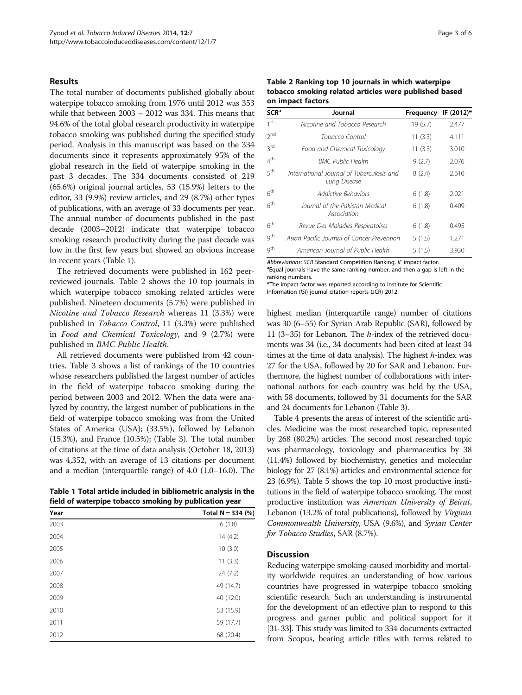# Results

The total number of documents published globally about waterpipe tobacco smoking from 1976 until 2012 was 353 while that between 2003 – 2012 was 334. This means that 94.6% of the total global research productivity in waterpipe tobacco smoking was published during the specified study period. Analysis in this manuscript was based on the 334 documents since it represents approximately 95% of the global research in the field of waterpipe smoking in the past 3 decades. The 334 documents consisted of 219 (65.6%) original journal articles, 53 (15.9%) letters to the editor, 33 (9.9%) review articles, and 29 (8.7%) other types of publications, with an average of 33 documents per year. The annual number of documents published in the past decade (2003–2012) indicate that waterpipe tobacco smoking research productivity during the past decade was low in the first few years but showed an obvious increase in recent years (Table 1).

The retrieved documents were published in 162 peerreviewed journals. Table 2 shows the 10 top journals in which waterpipe tobacco smoking related articles were published. Nineteen documents (5.7%) were published in Nicotine and Tobacco Research whereas 11 (3.3%) were published in Tobacco Control, 11 (3.3%) were published in Food and Chemical Toxicology, and 9 (2.7%) were published in BMC Public Health.

All retrieved documents were published from 42 countries. Table [3](#page-3-0) shows a list of rankings of the 10 countries whose researchers published the largest number of articles in the field of waterpipe tobacco smoking during the period between 2003 and 2012. When the data were analyzed by country, the largest number of publications in the field of waterpipe tobacco smoking was from the United States of America (USA); (33.5%), followed by Lebanon (15.3%), and France (10.5%); (Table [3](#page-3-0)). The total number of citations at the time of data analysis (October 18, 2013) was 4,352, with an average of 13 citations per document and a median (interquartile range) of 4.0 (1.0–16.0). The

Table 1 Total article included in bibliometric analysis in the field of waterpipe tobacco smoking by publication year

| Year | Total $N = 334$ (%) |
|------|---------------------|
| 2003 | 6(1.8)              |
| 2004 | 14(4.2)             |
| 2005 | 10(3.0)             |
| 2006 | 11(3.3)             |
| 2007 | 24(7.2)             |
| 2008 | 49 (14.7)           |
| 2009 | 40 (12.0)           |
| 2010 | 53 (15.9)           |
| 2011 | 59 (17.7)           |
| 2012 | 68 (20.4)           |

| Table 2 Ranking top 10 journals in which waterpipe    |
|-------------------------------------------------------|
| tobacco smoking related articles were published based |
| on impact factors                                     |

| <b>SCR<sup>a</sup></b> | Journal                                                   | Frequency IF (2012)* |       |
|------------------------|-----------------------------------------------------------|----------------------|-------|
| 1 <sup>st</sup>        | Nicotine and Tobacco Research                             | 19(5.7)              | 2.477 |
| 2 <sub>nd</sub>        | Tobacco Control                                           | 11(3.3)              | 4.111 |
| 3rd                    | Food and Chemical Toxicology                              | 11(3.3)              | 3.010 |
| 4 <sup>th</sup>        | <b>BMC Public Health</b>                                  | 9(2.7)               | 2.076 |
| 5 <sup>th</sup>        | International Journal of Tuberculosis and<br>Lung Disease | 8(2.4)               | 2.610 |
| 6 <sup>th</sup>        | Addictive Behaviors                                       | 6(1.8)               | 2.021 |
| 6 <sup>th</sup>        | Journal of the Pakistan Medical<br>Association            | 6(1.8)               | 0.409 |
| 6 <sup>th</sup>        | Revue Des Maladies Respiratoires                          | 6(1.8)               | 0.495 |
| q <sup>th</sup>        | Asian Pacific Journal of Cancer Prevention                | 5(1.5)               | 1.271 |
| gth                    | American Journal of Public Health                         | 5(1.5)               | 3.930 |

Abbreviations: SCR Standard Competition Ranking, IF impact factor. <sup>a</sup>Equal journals have the same ranking number, and then a gap is left in the ranking numbers.

\*The impact factor was reported according to Institute for Scientific

Information (ISI) journal citation reports (JCR) 2012.

highest median (interquartile range) number of citations was 30 (6–55) for Syrian Arab Republic (SAR), followed by 11 (3–35) for Lebanon. The h-index of the retrieved documents was 34 (i.e., 34 documents had been cited at least 34 times at the time of data analysis). The highest  $h$ -index was 27 for the USA, followed by 20 for SAR and Lebanon. Furthermore, the highest number of collaborations with international authors for each country was held by the USA, with 58 documents, followed by 31 documents for the SAR and 24 documents for Lebanon (Table [3\)](#page-3-0).

Table [4](#page-3-0) presents the areas of interest of the scientific articles. Medicine was the most researched topic, represented by 268 (80.2%) articles. The second most researched topic was pharmacology, toxicology and pharmaceutics by 38 (11.4%) followed by biochemistry, genetics and molecular biology for 27 (8.1%) articles and environmental science for 23 (6.9%). Table [5](#page-3-0) shows the top 10 most productive institutions in the field of waterpipe tobacco smoking. The most productive institution was American University of Beirut, Lebanon (13.2% of total publications), followed by Virginia Commonwealth University, USA (9.6%), and Syrian Center for Tobacco Studies, SAR (8.7%).

## **Discussion**

Reducing waterpipe smoking-caused morbidity and mortality worldwide requires an understanding of how various countries have progressed in waterpipe tobacco smoking scientific research. Such an understanding is instrumental for the development of an effective plan to respond to this progress and garner public and political support for it [[31](#page-5-0)-[33\]](#page-5-0). This study was limited to 334 documents extracted from Scopus, bearing article titles with terms related to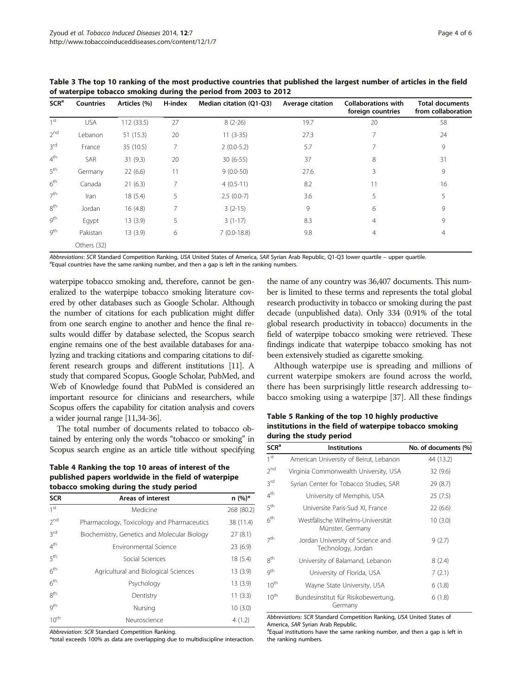| SCR <sup>a</sup> | <b>Countries</b> | Articles (%) | H-index | Median citation (Q1-Q3) | Average citation | <b>Collaborations with</b><br>foreign countries | <b>Total documents</b><br>from collaboration |
|------------------|------------------|--------------|---------|-------------------------|------------------|-------------------------------------------------|----------------------------------------------|
| 1 <sub>st</sub>  | <b>USA</b>       | 112 (33.5)   | 27      | $8(2-26)$               | 19.7             | 20                                              | 58                                           |
| 2 <sup>nd</sup>  | Lebanon          | 51(15.3)     | 20      | $11(3-35)$              | 27.3             |                                                 | 24                                           |
| 3 <sup>rd</sup>  | France           | 35 (10.5)    | 7       | $2(0.0-5.2)$            | 5.7              |                                                 | 9                                            |
| 4 <sup>th</sup>  | <b>SAR</b>       | 31(9.3)      | 20      | $30(6-55)$              | 37               | 8                                               | 31                                           |
| 5 <sup>th</sup>  | Germany          | 22(6.6)      | 11      | $9(0.0-50)$             | 27.6             | 3                                               | 9                                            |
| 6 <sup>th</sup>  | Canada           | 21(6.3)      | 7       | $4(0.5-11)$             | 8.2              | 11                                              | 16                                           |
| 7 <sup>th</sup>  | Iran             | 18(5.4)      | 5       | $2.5(0.0-7)$            | 3.6              | 5                                               | 5                                            |
| 8 <sup>th</sup>  | Jordan           | 16(4.8)      | 7       | $3(2-15)$               | 9                | 6                                               | 9                                            |
| 9 <sup>th</sup>  | Egypt            | 13(3.9)      | 5       | $3(1-17)$               | 8.3              | $\overline{4}$                                  | 9                                            |
| gth              | Pakistan         | 13(3.9)      | 6       | $7(0.0-18.8)$           | 9.8              | $\overline{4}$                                  | 4                                            |
|                  | Others (32)      |              |         |                         |                  |                                                 |                                              |

<span id="page-3-0"></span>Table 3 The top 10 ranking of the most productive countries that published the largest number of articles in the field of waterpipe tobacco smoking during the period from 2003 to 2012

Abbreviations: SCR Standard Competition Ranking, USA United States of America, SAR Syrian Arab Republic, Q1-Q3 lower quartile - upper quartile. <sup>a</sup> Equal countries have the same ranking number, and then a gap is left in the ranking numbers.

waterpipe tobacco smoking and, therefore, cannot be generalized to the waterpipe tobacco smoking literature covered by other databases such as Google Scholar. Although the number of citations for each publication might differ from one search engine to another and hence the final results would differ by database selected, the Scopus search engine remains one of the best available databases for analyzing and tracking citations and comparing citations to different research groups and different institutions [\[11](#page-5-0)]. A study that compared Scopus, Google Scholar, PubMed, and Web of Knowledge found that PubMed is considered an important resource for clinicians and researchers, while Scopus offers the capability for citation analysis and covers a wider journal range [[11,34](#page-5-0)-[36](#page-5-0)].

The total number of documents related to tobacco obtained by entering only the words "tobacco or smoking" in Scopus search engine as an article title without specifying

# Table 4 Ranking the top 10 areas of interest of the published papers worldwide in the field of waterpipe tobacco smoking during the study period

| <b>SCR</b>      | <b>Areas of interest</b>                     | n (%)*     |
|-----------------|----------------------------------------------|------------|
| 1 <sup>st</sup> | Medicine                                     | 268 (80.2) |
| 2 <sub>nd</sub> | Pharmacology, Toxicology and Pharmaceutics   | 38 (11.4)  |
| 3rd             | Biochemistry, Genetics and Molecular Biology | 27(8.1)    |
| $4^{\text{th}}$ | Environmental Science                        | 23(6.9)    |
| 5 <sup>th</sup> | Social Sciences                              | 18(5.4)    |
| 6 <sup>th</sup> | Agricultural and Biological Sciences         | 13(3.9)    |
| 6 <sup>th</sup> | Psychology                                   | 13(3.9)    |
| $R^{th}$        | Dentistry                                    | 11(3.3)    |
| gth             | Nursing                                      | 10(3.0)    |
| $10^{th}$       | Neuroscience                                 | 4(1.2)     |

Abbreviation: SCR Standard Competition Ranking.

\*total exceeds 100% as data are overlapping due to multidiscipline interaction.

the name of any country was 36,407 documents. This number is limited to these terms and represents the total global research productivity in tobacco or smoking during the past decade (unpublished data). Only 334 (0.91% of the total global research productivity in tobacco) documents in the field of waterpipe tobacco smoking were retrieved. These findings indicate that waterpipe tobacco smoking has not been extensively studied as cigarette smoking.

Although waterpipe use is spreading and millions of current waterpipe smokers are found across the world, there has been surprisingly little research addressing tobacco smoking using a waterpipe [\[37\]](#page-5-0). All these findings

Table 5 Ranking of the top 10 highly productive institutions in the field of waterpipe tobacco smoking during the study period

| SCR <sup>a</sup> | <b>Institutions</b>                                    | No. of documents (%) |
|------------------|--------------------------------------------------------|----------------------|
| 1 <sup>st</sup>  | American University of Beirut, Lebanon                 | 44 (13.2)            |
| 2 <sub>nd</sub>  | Virginia Commonwealth University, USA                  | 32 (9.6)             |
| 3rd              | Syrian Center for Tobacco Studies, SAR                 | 29 (8.7)             |
| $4^{\text{th}}$  | University of Memphis, USA                             | 25(7.5)              |
| 5 <sup>th</sup>  | Universite Paris-Sud XI, France                        | 22(6.6)              |
| $6^{\text{th}}$  | Westfälische Wilhelms-Universität<br>Münster, Germany  | 10(3.0)              |
| 7 <sup>th</sup>  | Jordan University of Science and<br>Technology, Jordan | 9(2.7)               |
| gth              | University of Balamand, Lebanon                        | 8(2.4)               |
| gth              | University of Florida, USA                             | 7(2.1)               |
| $10^{th}$        | Wayne State University, USA                            | 6(1.8)               |
| $10^{th}$        | Bundesinstitut für Risikobewertung,<br>Germany         | 6(1.8)               |

Abbreviations: SCR Standard Competition Ranking, USA United States of America, SAR Syrian Arab Republic.

<sup>a</sup> Equal institutions have the same ranking number, and then a gap is left in the ranking numbers.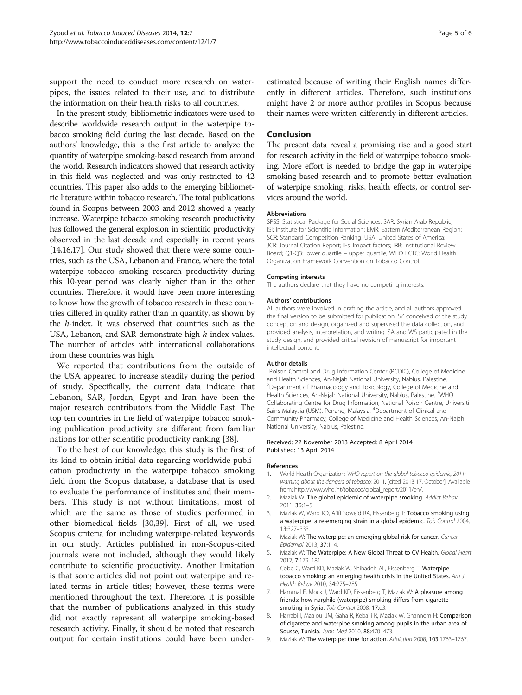<span id="page-4-0"></span>support the need to conduct more research on waterpipes, the issues related to their use, and to distribute the information on their health risks to all countries.

In the present study, bibliometric indicators were used to describe worldwide research output in the waterpipe tobacco smoking field during the last decade. Based on the authors' knowledge, this is the first article to analyze the quantity of waterpipe smoking-based research from around the world. Research indicators showed that research activity in this field was neglected and was only restricted to 42 countries. This paper also adds to the emerging bibliometric literature within tobacco research. The total publications found in Scopus between 2003 and 2012 showed a yearly increase. Waterpipe tobacco smoking research productivity has followed the general explosion in scientific productivity observed in the last decade and especially in recent years [[14,16,17\]](#page-5-0). Our study showed that there were some countries, such as the USA, Lebanon and France, where the total waterpipe tobacco smoking research productivity during this 10-year period was clearly higher than in the other countries. Therefore, it would have been more interesting to know how the growth of tobacco research in these countries differed in quality rather than in quantity, as shown by the h-index. It was observed that countries such as the USA, Lebanon, and SAR demonstrate high h-index values. The number of articles with international collaborations from these countries was high.

We reported that contributions from the outside of the USA appeared to increase steadily during the period of study. Specifically, the current data indicate that Lebanon, SAR, Jordan, Egypt and Iran have been the major research contributors from the Middle East. The top ten countries in the field of waterpipe tobacco smoking publication productivity are different from familiar nations for other scientific productivity ranking [\[38\]](#page-5-0).

To the best of our knowledge, this study is the first of its kind to obtain initial data regarding worldwide publication productivity in the waterpipe tobacco smoking field from the Scopus database, a database that is used to evaluate the performance of institutes and their members. This study is not without limitations, most of which are the same as those of studies performed in other biomedical fields [\[30,39](#page-5-0)]. First of all, we used Scopus criteria for including waterpipe-related keywords in our study. Articles published in non-Scopus-cited journals were not included, although they would likely contribute to scientific productivity. Another limitation is that some articles did not point out waterpipe and related terms in article titles; however, these terms were mentioned throughout the text. Therefore, it is possible that the number of publications analyzed in this study did not exactly represent all waterpipe smoking-based research activity. Finally, it should be noted that research output for certain institutions could have been underestimated because of writing their English names differently in different articles. Therefore, such institutions might have 2 or more author profiles in Scopus because their names were written differently in different articles.

#### Conclusion

The present data reveal a promising rise and a good start for research activity in the field of waterpipe tobacco smoking. More effort is needed to bridge the gap in waterpipe smoking-based research and to promote better evaluation of waterpipe smoking, risks, health effects, or control services around the world.

#### Abbreviations

SPSS: Statistical Package for Social Sciences; SAR: Syrian Arab Republic; ISI: Institute for Scientific Information; EMR: Eastern Mediterranean Region; SCR: Standard Competition Ranking; USA: United States of America; JCR: Journal Citation Report; IFs: Impact factors; IRB: Institutional Review Board; Q1-Q3: lower quartile – upper quartile; WHO FCTC: World Health Organization Framework Convention on Tobacco Control.

#### Competing interests

The authors declare that they have no competing interests.

#### Authors' contributions

All authors were involved in drafting the article, and all authors approved the final version to be submitted for publication. SZ conceived of the study conception and design, organized and supervised the data collection, and provided analysis, interpretation, and writing. SA and WS participated in the study design, and provided critical revision of manuscript for important intellectual content.

#### Author details

<sup>1</sup> Poison Control and Drug Information Center (PCDIC), College of Medicine and Health Sciences, An-Najah National University, Nablus, Palestine. <sup>2</sup>Department of Pharmacology and Toxicology, College of Medicine and Health Sciences, An-Najah National University, Nablus, Palestine. <sup>3</sup>WHC Collaborating Centre for Drug Information, National Poison Centre, Universiti Sains Malaysia (USM), Penang, Malaysia. <sup>4</sup>Department of Clinical and Community Pharmacy, College of Medicine and Health Sciences, An-Najah National University, Nablus, Palestine.

#### Received: 22 November 2013 Accepted: 8 April 2014 Published: 13 April 2014

#### References

- 1. World Health Organization: WHO report on the global tobacco epidemic, 2011: warning about the dangers of tobacco; 2011. [cited 2013 17, October]; Available from: [http://www.who.int/tobacco/global\\_report/2011/en/](http://www.who.int/tobacco/global_report/2011/en/).
- 2. Maziak W: The global epidemic of waterpipe smoking. Addict Behav 2011, 36:1–5.
- 3. Maziak W, Ward KD, Afifi Soweid RA, Eissenberg T: Tobacco smoking using a waterpipe: a re-emerging strain in a global epidemic. Tob Control 2004, 13:327–333.
- 4. Maziak W: The waterpipe: an emerging global risk for cancer. Cancer Epidemiol 2013, 37:1–4.
- 5. Maziak W: The Waterpipe: A New Global Threat to CV Health. Global Heart 2012, 7:179–181.
- 6. Cobb C, Ward KD, Maziak W, Shihadeh AL, Eissenberg T: Waterpipe tobacco smoking: an emerging health crisis in the United States. Am J Health Behav 2010, 34:275–285.
- 7. Hammal F, Mock J, Ward KD, Eissenberg T, Maziak W: A pleasure among friends: how narghile (waterpipe) smoking differs from cigarette smoking in Syria. Tob Control 2008, 17:e3.
- 8. Harrabi I, Maaloul JM, Gaha R, Kebaili R, Maziak W, Ghannem H: Comparison of cigarette and waterpipe smoking among pupils in the urban area of Sousse, Tunisia. Tunis Med 2010, 88:470–473.
- 9. Maziak W: The waterpipe: time for action. Addiction 2008, 103:1763-1767.